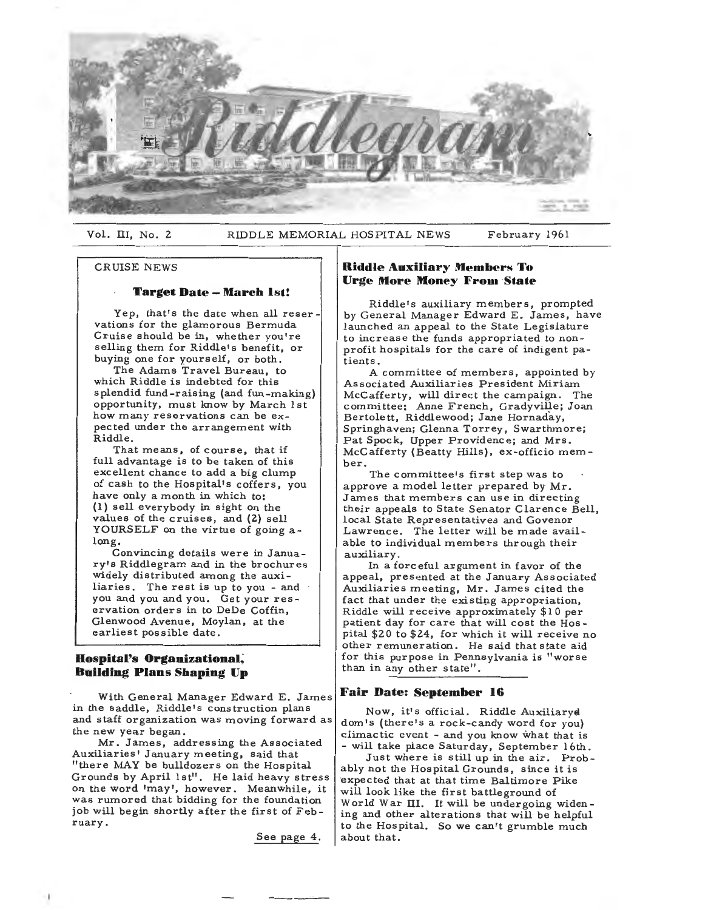

Vol. III, No. 2 RIDDLE MEMORIAL HOSPITAL NEWS February 1961

#### CRUISE NEWS

# **Target Date - March 1st!**

Yep, that's the date when all reservations for the glamorous Bermuda Cruise should be in, whether you're selling them for Riddle's benefit, or buying one for yourself, or both.

The Adams Travel Bureau, to which Riddle is indebted for this splendid fund-raising (and fun-making) opportunity, must know by March 1st how many reservations can be expected under the arrangement with Riddle.

That means, of course, that if full advantage is to be taken of this excellent chance to add a big clump of cash to the Hospital's coffers, you have only a month in which to: (1) sell everybody in sight on the values of the cruises, and (2) sell YOURSELF on the virtue of going along.

Convincing details were in January's Riddlegram and in the brochures widely distributed among the auxiliaries. The rest is up to you - and you and you and you. Get your res ervation orders in to DeDe Coffin, Glenwood Avenue, Moylan, at the earliest possible date.

## **Hospital's Organizational, Building Plans Shaping Up**

With General Manager Edward E. James in the saddle, Riddle's construction plans and staff organization was moving forward as the new year began.

Mr. James, addressing the Associated Auxiliaries' January meeting, said that "there MAY be bulldozers on the Hospital Grounds by April 1st". He laid heavy stress on the word 'may', however. Meanwhile, it was rumored that bidding for the foundation job will begin shortly after the first of February.

See page 4.

# **Riddle Auxiliary Members To Urge More Money From State**

Riddle's auxiliary members, prompted by General Manager Edward E. James, have launched an appeal to the State Legislature to increase the funds appropriated to nonprofit hospitals for the care of indigent patients.

A committee of members, appointed by Associated Auxiliaries President Miriam McCafferty, will direct the campaign. The committee: Anne French, Gradyville; Joan Bertolett, Riddlewood; Jane Hornaday, Springhaven; Glenna Torrey, Swarthmore; Pat Spock, Upper Providence; and Mrs. McCafferty (Beatty Hills), ex-officio member.

The committee's first step was to approve a model letter prepared by Mr. James that members can use in directing their appeals to State Senator Clarence Bell, local State Representatives and Govenor Lawrence. The letter will be made available to individual members through their auxiliary.

In a forceful argument in favor of the appeal, presented at the January Associated Auxiliaries meeting, Mr. James cited the fact that under the existing appropriation, Riddle will receive approximately \$10 per patient day for care that will cost the Hos pital \$20 to \$24, for which it will receive no other remuneration. He said that state aid for this purpose in Pennsylvania is "worse than in any other state".

### **Fair Date: September 16**

Now, it's official. Riddle Auxiliarya dom•s (there's a rock-candy word for you) climactic event - and you know what that is - will take place Saturday, September 16th.

Just where is still up in the air. Probably not the Hospital Grounds, since it is ·expected that at that time Baltimore Pike will look like the first battleground of World War III. It will be undergoing widening and other alterations that will be helpful to the Hospital. So we can't grumble much about that.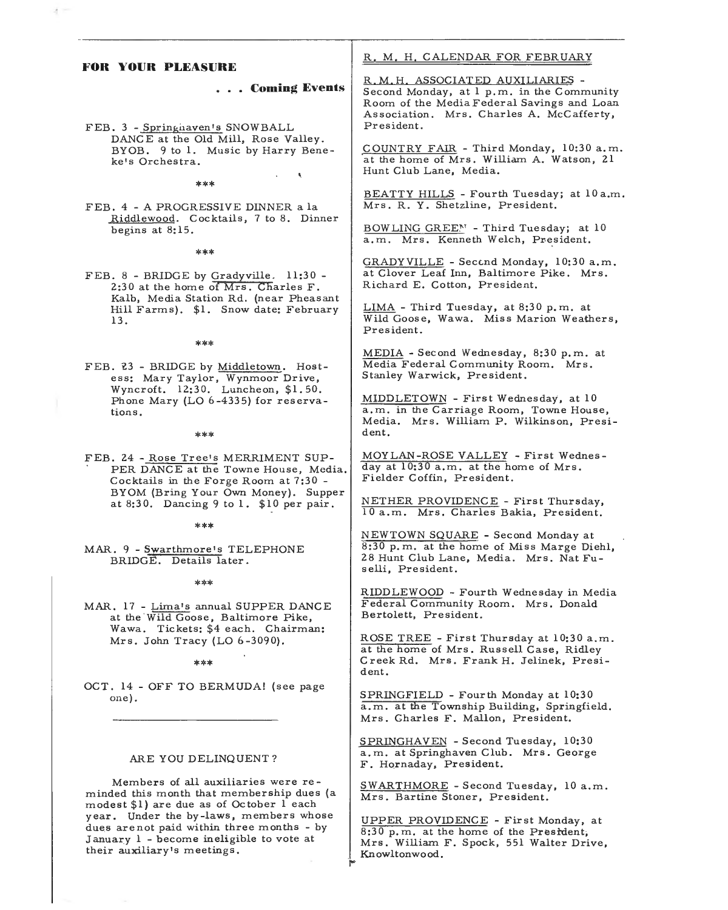| FOR YOUR PLEASURE                                                                                                            | R. M. H. CALENDAR FOR FEBRUARY                                                                                                                                                       |
|------------------------------------------------------------------------------------------------------------------------------|--------------------------------------------------------------------------------------------------------------------------------------------------------------------------------------|
| Coming Events<br>FEB. 3 - Springhaven's SNOWBALL                                                                             | R.M.H. ASSOCIATED AUXILIARIES -<br>Second Monday, at 1 p.m. in the Community<br>Room of the Media Federal Savings and Loan<br>Association. Mrs. Charles A. McCafferty,<br>President. |
| DANCE at the Old Mill, Rose Valley.<br>BYOB. 9 to 1. Music by Harry Bene-<br>ke's Orchestra.<br>×.                           | COUNTRY FAIR - Third Monday, 10:30 a.m.<br>at the home of Mrs. William A. Watson, 21<br>Hunt Club Lane, Media.                                                                       |
| ***<br>FEB. 4 - A PROGRESSIVE DINNER a la                                                                                    | BEATTY HILLS - Fourth Tuesday; at 10 a.m.<br>Mrs. R. Y. Shetzline, President.                                                                                                        |
| Riddlewood. Cocktails, 7 to 8. Dinner<br>begins at $8:15$ .<br>***                                                           | BOWLING GREEN - Third Tuesday; at 10<br>a.m. Mrs. Kenneth Welch, President.                                                                                                          |
| FEB. 8 - BRIDGE by Gradyville. 11:30 -<br>2:30 at the home of Mrs. Charles F.                                                | GRADY VILLE - Second Monday, 10:30 a.m.<br>at Clover Leaf Inn, Baltimore Pike. Mrs.<br>Richard E. Cotton, President.                                                                 |
| Kalb, Media Station Rd. (near Pheasant<br>Hill Farms). \$1. Snow date: February<br>13.                                       | LIMA - Third Tuesday, at 8:30 p.m. at<br>Wild Goose, Wawa. Miss Marion Weathers,<br>President.                                                                                       |
| ***<br>FEB. 23 - BRIDGE by Middletown. Host-<br>ess: Mary Taylor, Wynmoor Drive,                                             | MEDIA - Second Wednesday, 8:30 p.m. at<br>Media Federal Community Room. Mrs.<br>Stanley Warwick, President.                                                                          |
| Wyncroft. 12:30. Luncheon, \$1.50.<br>Phone Mary (LO 6-4335) for reserva-<br>tions.<br>***                                   | MIDDLETOWN - First Wednesday, at 10<br>a.m. in the Carriage Room, Towne House,<br>Media. Mrs. William P. Wilkinson, Presi-<br>dent.                                                  |
| FEB. 24 - Rose Tree's MERRIMENT SUP-<br>PER DANCE at the Towne House, Media.<br>Cocktails in the Forge Room at 7:30 -        | MOYLAN-ROSE VALLEY - First Wednes-<br>day at 10:30 a.m. at the home of Mrs.<br>Fielder Coffin, President.                                                                            |
| BYOM (Bring Your Own Money). Supper<br>at 8:30. Dancing 9 to 1. \$10 per pair.                                               | NETHER PROVIDENCE - First Thursday,<br>10 a.m. Mrs. Charles Bakia, President.                                                                                                        |
| ***<br>MAR. 9 - Swarthmore's TELEPHONE<br>BRIDGE. Details later.                                                             | NEWTOWN SQUARE - Second Monday at<br>8:30 p.m. at the home of Miss Marge Diehl,<br>28 Hunt Club Lane, Media. Mrs. Nat Fu-<br>selli, President.                                       |
| ***<br>MAR. 17 - Lima's annual SUPPER DANCE<br>at the Wild Goose, Baltimore Pike,                                            | RIDDLEWOOD - Fourth Wednesday in Media<br>Federal Community Room. Mrs. Donald<br>Bertolett, President.                                                                               |
| Wawa. Tickets: \$4 each. Chairman:<br>Mrs. John Tracy (LO $6-3090$ ).<br>***                                                 | ROSE TREE - First Thursday at 10:30 a.m.<br>at the home of Mrs. Russell Case, Ridley<br>Creek Rd. Mrs. Frank H. Jelinek, Presi-<br>dent.                                             |
| OCT. 14 - OFF TO BERMUDA! (see page<br>one).                                                                                 | SPRINGFIELD - Fourth Monday at 10:30<br>a.m. at the Township Building, Springfield.<br>Mrs. Charles F. Mallon, President.                                                            |
| ARE YOU DELINQUENT?                                                                                                          | SPRINGHAVEN - Second Tuesday, 10:30<br>a.m. at Springhaven Club. Mrs. George<br>F. Hornaday, President.                                                                              |
| Members of all auxiliaries were re-<br>minded this month that membership dues (a<br>modest \$1) are due as of October 1 each | SWARTHMORE - Second Tuesday, 10 a.m.<br>Mrs. Bartine Stoner, President.                                                                                                              |
| year. Under the by-laws, members whose<br>dues are not paid within three months - by                                         | UPPER PROVIDENCE - First Monday, at<br>$8.30 \text{ n}$ m at the home of the Drestrient.                                                                                             |

8:30 p.m. at the home of the Preside Mrs. William F. Spock, 551 Walter Drive, Knowltonwo

January l - become ineligible to **vote** at

their auxiliary's meeting

 $\epsilon =$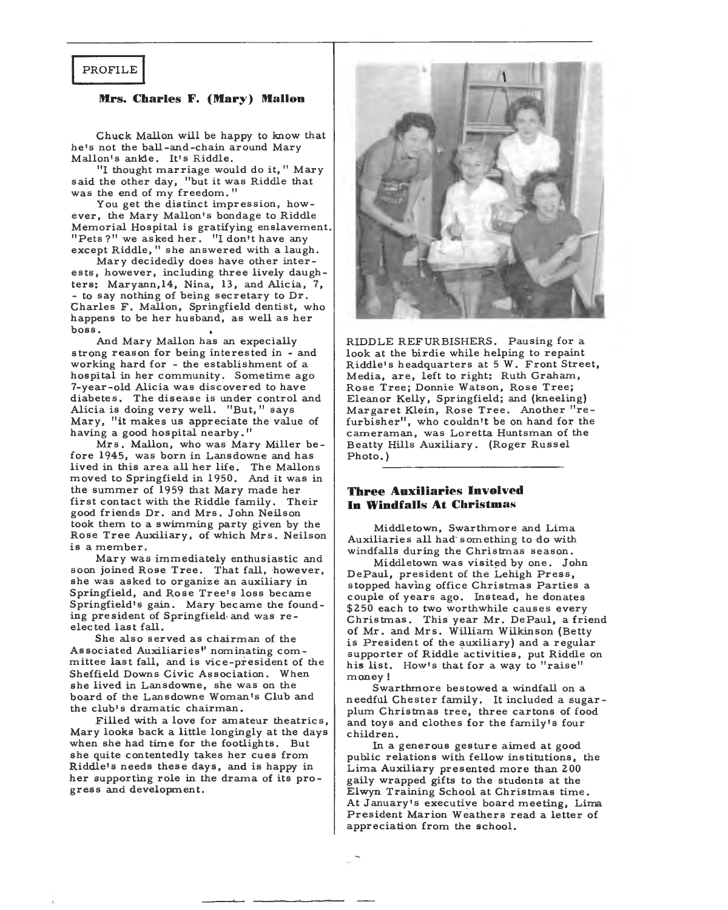# PROFILE

### **Mrs. Charles F. (Mary) Mallon**

Chuck Mallon will be happy to know that he's not the ball-and-chain around Mary Mallon's ankle. It's Riddle.

"I thought marriage would do it," Mary said the other day, "but it was Riddle that was the end of my freedom."

You get the distinct impression, however, the Mary Mallon's bondage to Riddle Memorial Hospital is gratifying enslavement. "Pets?" we asked her. "I don't have any except Riddle," she answered with a laugh.

Mary decidedly does have other interests, however, including three lively daughters: Maryann,14, Nina, 13, and Alicia, 7, - to say nothing of being secretary to Dr. Charles F. Mallon, Springfield dentist, who happens to be her husband, as well as her boss.

And Mary Mallon has an expecially strong reason for being interested in - and working hard for - the establishment of a hospital in her community. Sometime ago 7-year-old Alicia was discovered to have diabetes. The disease is under control and Alicia is doing very well. "But," says Mary, "it makes us appreciate the value of having a good hospital nearby."

Mrs. Mallon, who was Mary Miller be fore 1945, was born in Lansdowne and has lived in this area all her life. The Mallor moved to Springfield in 1950. And it was in the summer of 1959 that Mary made her first contact with the Riddle family. Their good friends Dr. and Mrs. John Neilson took them to a swimming party given by the Rose Tree Auxiliary, of which Mrs. Neilson is a member.

Mary was immediately enthusiastic and soon joined Rose Tree. That fall, however, she was asked to organize an auxiliary in Springfield, and Rose Tree's loss became Springfield's gain. Mary became the founding president of Springfield and was reelected last fall.

She also served as chairman of the Associated Auxiliaries" nominating committee last fall, and is vice-president of the Sheffield Downs Civic Association. When she lived in Lansdowne, she was on the board of the Lansdowne Woman's Club and the club's dramatic chairman.

Filled with a love for amateur theatrics, Mary looks back a little longingly at the days when she had time for the footlights. But she quite contentedly takes her cues from Riddle's needs these days, and is happy in her supporting role in the drama of its progress and development.



RIDDLE REFURBISHERS. Pausing for a look at the birdie while helping to repaint Riddle's headquarters at 5 W. Front Street, Media, are, left to right: Ruth Graham, Rose Tree; Donnie Watson, Rose Tree; Eleanor Kelly, Springfield; and (kneeling) Margaret Klein, Rose Tree. Another "refurbisher", who couldn't be on hand for the cameraman, was Loretta Huntsman of the Beatty Hills Auxiliary. (Roger Russel Photo.)

# **Three Auxiliaries Involved In Windfalls At Christmas**

Middletown, Swarthmore and Lima Auxiliaries all had' something to do with windfalls during the Christmas season.

Middletown was visited by one. John DePaul, president of the Lehigh Press, stopped having office Christmas Parties a couple of years ago. lnstead, he donates \$250 each to two worthwhile causes every Christmas. This year Mr. DePaul, a friend of Mr. and Mrs. William Wilkinson (Betty is President of the auxiliary) and a regular supporter of Riddle activities, put Riddle on his list. How's that for a way to "raise" money!

Swarthmore bestowed a windfall on a needful Chester family. It included a sugarplum Christmas tree, three cartons of food and toys and clothes for the family's four children.

In a generous gesture aimed at good public relations with fellow institutions, the Lima Auxiliary presented more than 200 gaily wrapped gifts to the students at the Elwyn Training School at Christmas time. At January's executive board meeting, Lima President Marion Weathers read a letter of appreciation from the school.